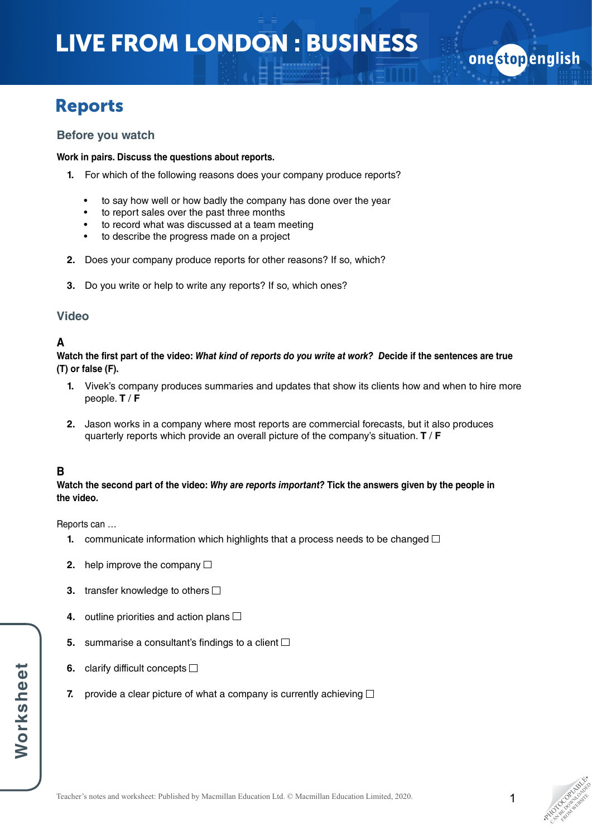# LIVE FROM LONDON : BUSINESS

# Reports

### **Before you watch**

#### **Work in pairs. Discuss the questions about reports.**

- **1.** For which of the following reasons does your company produce reports?
	- to say how well or how badly the company has done over the year
	- to report sales over the past three months
	- to record what was discussed at a team meeting
	- to describe the progress made on a project
- **2.** Does your company produce reports for other reasons? If so, which?
- **3.** Do you write or help to write any reports? If so, which ones?

### **Video**

### **A**

**Watch the first part of the video:** *What kind of reports do you write at work? D***ecide if the sentences are true (T) or false (F).**

- **1.** Vivek's company produces summaries and updates that show its clients how and when to hire more people. **T** / **F**
- **2.** Jason works in a company where most reports are commercial forecasts, but it also produces quarterly reports which provide an overall picture of the company's situation. **T** / **F**

## **B**

#### **Watch the second part of the video:** *Why are reports important?* **Tick the answers given by the people in the video.**

Reports can …

- **1.** communicate information which highlights that a process needs to be changed  $\Box$
- **2.** help improve the company □
- **3.** transfer knowledge to others  $\Box$
- **4.** outline priorities and action plans
- **5.** summarise a consultant's findings to a client  $\Box$
- **6.** clarify difficult concepts □
- **7.** provide a clear picture of what a company is currently achieving  $\Box$

onestopenglish

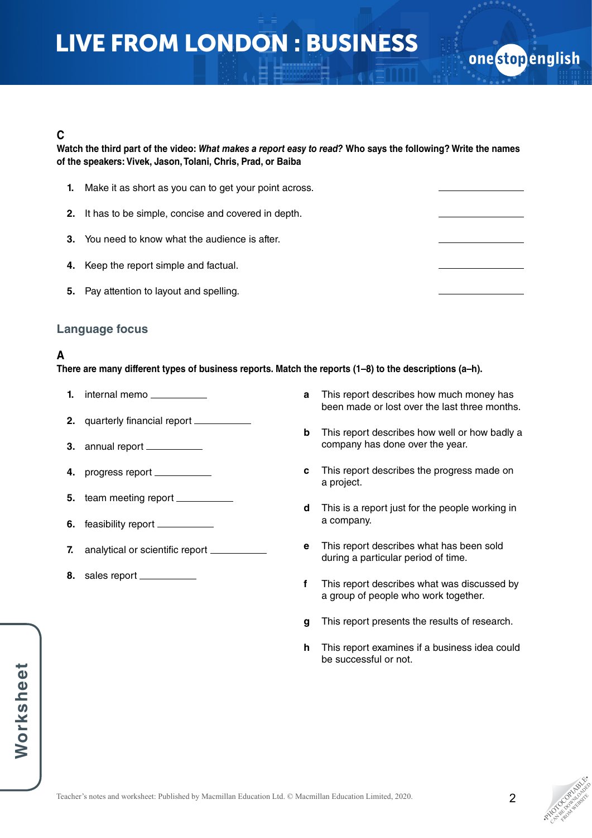# LIVE FROM LONDON : BUSINESS

### **C**

**Watch the third part of the video:** *What makes a report easy to read?* **Who says the following? Write the names of the speakers: Vivek, Jason, Tolani, Chris, Prad, or Baiba**

| 1. | Make it as short as you can to get your point across.  |  |
|----|--------------------------------------------------------|--|
|    | 2. It has to be simple, concise and covered in depth.  |  |
|    | <b>3.</b> You need to know what the audience is after. |  |
|    | 4. Keep the report simple and factual.                 |  |
| 5. | Pay attention to layout and spelling.                  |  |

### **Language focus**

## **A**

**There are many different types of business reports. Match the reports (1–8) to the descriptions (a–h).** 

- **1.** internal memo
- **2.** quarterly financial report
- **3.** annual report
- **4.** progress report
- **5.** team meeting report
- **6.** feasibility report
- **7.** analytical or scientific report \_\_\_\_\_\_\_
- **8.** sales report
- **a** This report describes how much money has been made or lost over the last three months.
- **b** This report describes how well or how badly a company has done over the year.
- **c** This report describes the progress made on a project.
- **d** This is a report just for the people working in a company.
- **e** This report describes what has been sold during a particular period of time.
- **f** This report describes what was discussed by a group of people who work together.
- **g** This report presents the results of research.
- **h** This report examines if a business idea could be successful or not.

one stop english